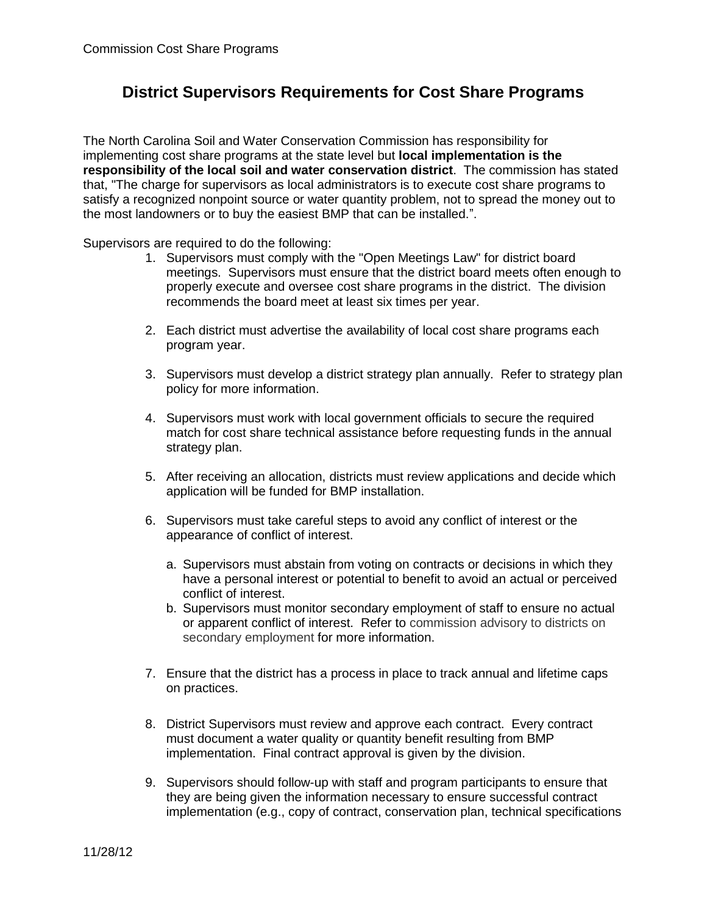## **District Supervisors Requirements for Cost Share Programs**

The North Carolina Soil and Water Conservation Commission has responsibility for implementing cost share programs at the state level but **local implementation is the responsibility of the local soil and water conservation district**. The commission has stated that, "The charge for supervisors as local administrators is to execute cost share programs to satisfy a recognized nonpoint source or water quantity problem, not to spread the money out to the most landowners or to buy the easiest BMP that can be installed.".

Supervisors are required to do the following:

- 1. Supervisors must comply with the "Open Meetings Law" for district board meetings. Supervisors must ensure that the district board meets often enough to properly execute and oversee cost share programs in the district. The division recommends the board meet at least six times per year.
- 2. Each district must advertise the availability of local cost share programs each program year.
- 3. Supervisors must develop a district strategy plan annually. Refer to strategy plan policy for more information.
- 4. Supervisors must work with local government officials to secure the required match for cost share technical assistance before requesting funds in the annual strategy plan.
- 5. After receiving an allocation, districts must review applications and decide which application will be funded for BMP installation.
- 6. Supervisors must take careful steps to avoid any conflict of interest or the appearance of conflict of interest.
	- a. Supervisors must abstain from voting on contracts or decisions in which they have a personal interest or potential to benefit to avoid an actual or perceived conflict of interest.
	- b. Supervisors must monitor secondary employment of staff to ensure no actual or apparent conflict of interest. Refer to commission advisory to districts on secondary employment for more information.
- 7. Ensure that the district has a process in place to track annual and lifetime caps on practices.
- 8. District Supervisors must review and approve each contract. Every contract must document a water quality or quantity benefit resulting from BMP implementation. Final contract approval is given by the division.
- 9. Supervisors should follow-up with staff and program participants to ensure that they are being given the information necessary to ensure successful contract implementation (e.g., copy of contract, conservation plan, technical specifications